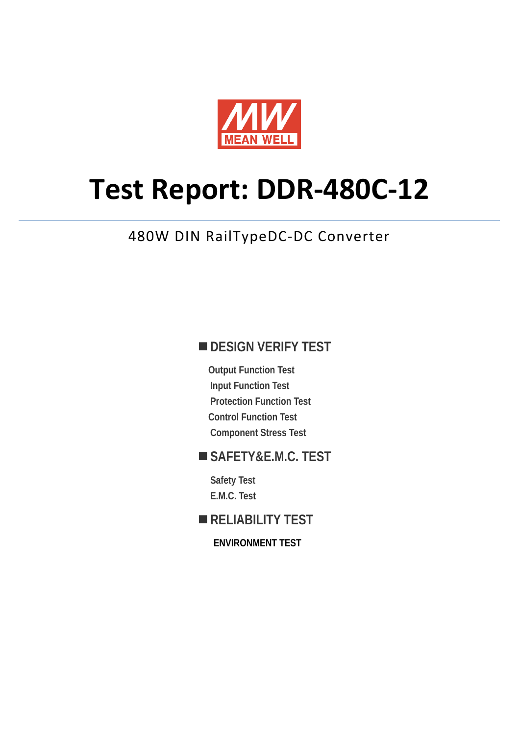

# **Test Report: DDR-480C-12**

# 480W DIN RailTypeDC-DC Converter

# **DESIGN VERIFY TEST**

**Output Function Test Input Function Test Protection Function Test Control Function Test Component Stress Test** 

# **SAFETY&E.M.C. TEST**

**Safety Test E.M.C. Test** 

## **RELIABILITY TEST**

**ENVIRONMENT TEST**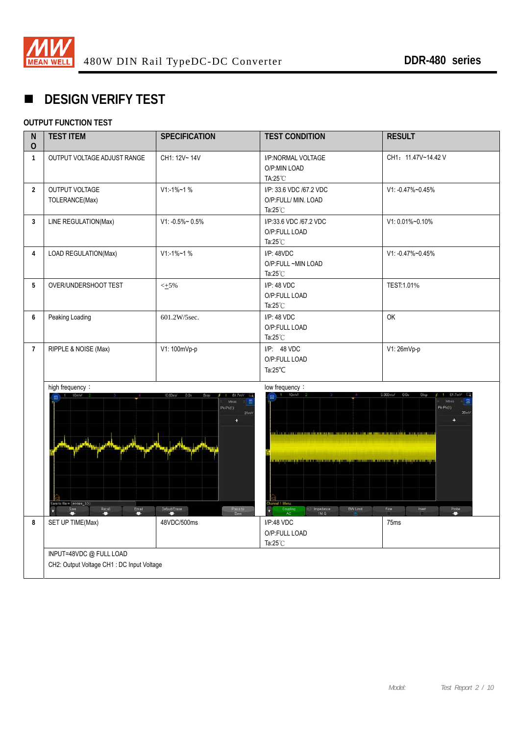

# **DESIGN VERIFY TEST**

#### **OUTPUT FUNCTION TEST**

| N<br>$\overline{0}$ | <b>TEST ITEM</b>                                                                                             | <b>SPECIFICATION</b>                                     | <b>TEST CONDITION</b>                                                                                                                                               | <b>RESULT</b>                                                                          |  |  |
|---------------------|--------------------------------------------------------------------------------------------------------------|----------------------------------------------------------|---------------------------------------------------------------------------------------------------------------------------------------------------------------------|----------------------------------------------------------------------------------------|--|--|
| $\mathbf{1}$        | OUTPUT VOLTAGE ADJUST RANGE                                                                                  | CH1: 12V~ 14V                                            | I/P:NORMAL VOLTAGE<br>O/P:MIN LOAD<br>TA:25°C                                                                                                                       | CH1: 11.47V~14.42 V                                                                    |  |  |
| $\overline{2}$      | OUTPUT VOLTAGE<br>TOLERANCE(Max)                                                                             | $V1: -1\% - 1\%$                                         | I/P: 33.6 VDC /67.2 VDC<br>O/P:FULL/ MIN. LOAD<br>Ta: $25^{\circ}$ C                                                                                                | V1: -0.47%~0.45%                                                                       |  |  |
| $\overline{3}$      | LINE REGULATION(Max)                                                                                         | $V1: -0.5\% \sim 0.5\%$                                  | I/P:33.6 VDC /67.2 VDC<br>O/P:FULL LOAD<br>Ta: $25^{\circ}$ C                                                                                                       | V1: 0.01%~0.10%                                                                        |  |  |
| $\overline{4}$      | LOAD REGULATION(Max)                                                                                         | $V1:1\%~1~\%$                                            | I/P: 48VDC<br>O/P:FULL ~MIN LOAD<br>Ta: $25^{\circ}$ C                                                                                                              | V1: -0.47%~0.45%                                                                       |  |  |
| 5                   | OVER/UNDERSHOOT TEST<br>$\leq$ +5%                                                                           |                                                          | $I/P$ : 48 VDC<br>O/P:FULL LOAD<br>Ta: $25^{\circ}$ C                                                                                                               | TEST:1.01%                                                                             |  |  |
| 6                   | Peaking Loading                                                                                              | 601.2W/5sec.                                             | $I/P$ : 48 VDC<br>O/P:FULL LOAD<br>Ta: $25^{\circ}$ C                                                                                                               | <b>OK</b>                                                                              |  |  |
| $\overline{7}$      | RIPPLE & NOISE (Max)                                                                                         | V1: 100mVp-p                                             | $I/P$ : 48 VDC<br>O/P:FULL LOAD<br>Ta: $25^{\circ}$ C                                                                                                               | V1: 26mVp-p                                                                            |  |  |
|                     | high frequency:<br>$1 - 10mV/2$<br>Save to file = $  \ncong 101$<br>Recall<br><b>4</b><br>Email<br>Save<br>n | Pk.Pk(1)<br>21 <sub>m</sub><br>Default/Erase<br>Press to | low frequency:<br>10mV/<br>hannel 1 Menu<br>$\begin{array}{c}\n\text{Impedance} \\ \text{1M }\Omega\n\end{array}$<br><b>BW Limit</b><br>Coupling<br>AC<br>$\bullet$ | Pk-Pk(t):<br>Fine<br>Invert<br>$\begin{array}{c}\n\text{Probs} \\ \hline\n\end{array}$ |  |  |
| 8                   | SET UP TIME(Max)                                                                                             | 48VDC/500ms                                              | $I/P:48$ VDC<br>O/P:FULL LOAD<br>Ta: $25^{\circ}$ C                                                                                                                 | 75ms                                                                                   |  |  |
|                     | INPUT=48VDC @ FULL LOAD<br>CH2: Output Voltage CH1 : DC Input Voltage                                        |                                                          |                                                                                                                                                                     |                                                                                        |  |  |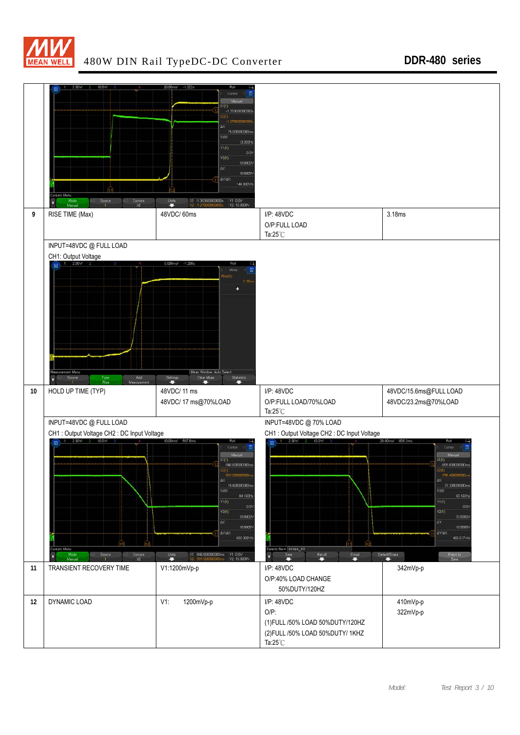

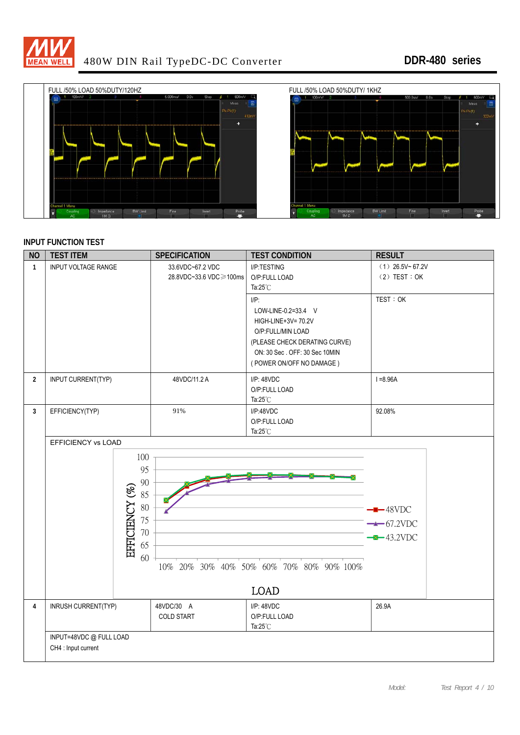



#### **INPUT FUNCTION TEST**

| <b>NO</b>      | <b>TEST ITEM</b><br><b>SPECIFICATION</b> |                         | <b>TEST CONDITION</b>                    | <b>RESULT</b>         |
|----------------|------------------------------------------|-------------------------|------------------------------------------|-----------------------|
| $\mathbf{1}$   | <b>INPUT VOLTAGE RANGE</b>               | 33.6VDC~67.2 VDC        | I/P:TESTING                              | $(1)$ 26.5V~ 67.2V    |
|                |                                          | 28.8VDC~33.6 VDC ≥100ms | O/P:FULL LOAD                            | $(2)$ TEST : OK       |
|                |                                          |                         | Ta: $25^{\circ}$ C                       |                       |
|                |                                          |                         | $I/P$ :                                  | TEST: OK              |
|                |                                          |                         | LOW-LINE-0.2=33.4 V                      |                       |
|                |                                          |                         | HIGH-LINE+3V= 70.2V                      |                       |
|                |                                          |                         | O/P:FULL/MIN LOAD                        |                       |
|                |                                          |                         | (PLEASE CHECK DERATING CURVE)            |                       |
|                |                                          |                         | ON: 30 Sec. OFF: 30 Sec 10MIN            |                       |
|                |                                          |                         | (POWER ON/OFF NO DAMAGE)                 |                       |
| $\overline{2}$ | INPUT CURRENT(TYP)                       | 48VDC/11.2 A            | I/P: 48VDC                               | $I = 8.96A$           |
|                |                                          |                         | O/P:FULL LOAD                            |                       |
|                |                                          |                         | Ta: $25^{\circ}$ C                       |                       |
| 3              | EFFICIENCY(TYP)                          | 91%                     | I/P:48VDC                                | 92.08%                |
|                |                                          |                         | O/P:FULL LOAD                            |                       |
|                |                                          |                         | Ta: $25^{\circ}$ C                       |                       |
|                | <b>EFFICIENCY vs LOAD</b>                |                         |                                          |                       |
|                | 100                                      |                         |                                          |                       |
|                | 95                                       |                         |                                          |                       |
|                | 90                                       |                         |                                          |                       |
|                | 85                                       |                         |                                          |                       |
|                |                                          |                         |                                          |                       |
|                | 80                                       |                         |                                          | $-$ -48VDC            |
|                | 75                                       |                         |                                          | $\rightarrow$ 67.2VDC |
|                | $70\,$                                   |                         |                                          | $-43.2$ VDC           |
|                | EFFICIENCY (%)<br>65                     |                         |                                          |                       |
|                | 60                                       |                         |                                          |                       |
|                |                                          |                         | 10% 20% 30% 40% 50% 60% 70% 80% 90% 100% |                       |
|                |                                          |                         |                                          |                       |
|                |                                          |                         | <b>LOAD</b>                              |                       |
| 4              | INRUSH CURRENT(TYP)                      | 48VDC/30 A              | $I/P$ : 48VDC                            | 26.9A                 |
|                |                                          | <b>COLD START</b>       | O/P:FULL LOAD                            |                       |
|                |                                          |                         | Ta: $25^{\circ}$ C                       |                       |
|                | INPUT=48VDC @ FULL LOAD                  |                         |                                          |                       |
|                | CH4 : Input current                      |                         |                                          |                       |
|                |                                          |                         |                                          |                       |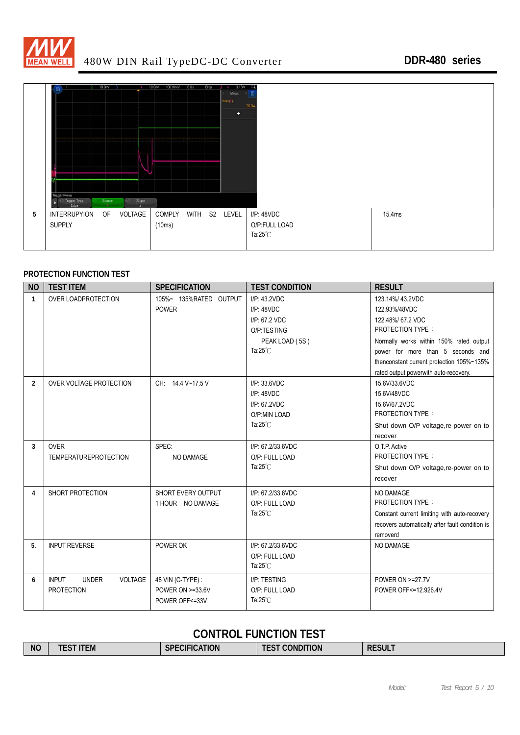



#### **PROTECTION FUNCTION TEST**

| <b>NO</b>      | <b>TEST ITEM</b>                        | <b>SPECIFICATION</b>   | <b>TEST CONDITION</b> | <b>RESULT</b>                                   |
|----------------|-----------------------------------------|------------------------|-----------------------|-------------------------------------------------|
| $\mathbf{1}$   | <b>OVER LOADPROTECTION</b>              | 105%~ 135%RATED OUTPUT | I/P: 43.2VDC          | 123.14%/43.2VDC                                 |
|                |                                         | <b>POWER</b>           | I/P: 48VDC            | 122.93%/48VDC                                   |
|                |                                         |                        | I/P: 67.2 VDC         | 122.48%/67.2 VDC                                |
|                |                                         |                        | O/P:TESTING           | <b>PROTECTION TYPE:</b>                         |
|                |                                         |                        | PEAK LOAD (5S)        | Normally works within 150% rated output         |
|                |                                         |                        | Ta: $25^{\circ}$ C    | power for more than 5 seconds and               |
|                |                                         |                        |                       | thenconstant current protection 105%~135%       |
|                |                                         |                        |                       | rated output powerwith auto-recovery.           |
| $\overline{2}$ | OVER VOLTAGE PROTECTION                 | CH: 14.4 V~17.5 V      | I/P: 33.6VDC          | 15.6V/33.6VDC                                   |
|                |                                         |                        | I/P: 48VDC            | 15.6V/48VDC                                     |
|                |                                         |                        | I/P: 67.2VDC          | 15.6V/67.2VDC                                   |
|                |                                         |                        | O/P:MIN LOAD          | PROTECTION TYPE:                                |
|                |                                         |                        | Ta: $25^{\circ}$ C    | Shut down O/P voltage, re-power on to           |
|                |                                         |                        |                       | recover                                         |
| 3              | <b>OVER</b>                             | SPEC:                  | I/P: 67.2/33.6VDC     | O.T.P. Active                                   |
|                | <b>TEMPERATUREPROTECTION</b>            | NO DAMAGE              | O/P: FULL LOAD        | <b>PROTECTION TYPE:</b>                         |
|                |                                         |                        | Ta: $25^{\circ}$ C    | Shut down O/P voltage, re-power on to           |
|                |                                         |                        |                       | recover                                         |
| 4              | SHORT PROTECTION                        | SHORT EVERY OUTPUT     | I/P: 67.2/33.6VDC     | NO DAMAGE                                       |
|                |                                         | 1 HOUR NO DAMAGE       | O/P: FULL LOAD        | PROTECTION TYPE:                                |
|                |                                         |                        | Ta: $25^{\circ}$ C    | Constant current limiting with auto-recovery    |
|                |                                         |                        |                       | recovers automatically after fault condition is |
|                |                                         |                        |                       | removerd                                        |
| 5.             | <b>INPUT REVERSE</b>                    | POWER OK               | I/P: 67.2/33.6VDC     | NO DAMAGE                                       |
|                |                                         |                        | O/P: FULL LOAD        |                                                 |
|                |                                         |                        | Ta: $25^{\circ}$ C    |                                                 |
| 6              | <b>INPUT</b><br><b>UNDER</b><br>VOLTAGE | 48 VIN (C-TYPE) :      | I/P: TESTING          | POWER ON >=27.7V                                |
|                | <b>PROTECTION</b>                       | POWER ON >=33.6V       | O/P: FULL LOAD        | POWER OFF<=12.926.4V                            |
|                |                                         | POWER OFF<=33V         | Ta: $25^{\circ}$ C    |                                                 |
|                |                                         |                        |                       |                                                 |

### **CONTROL FUNCTION TEST**

| <b>NO</b><br>---<br>----<br>.<br>SPF<br>sul<br>וחר<br>. ION<br>4E F<br>⊆IVI<br>.<br>_______<br>the contract of the contract of the contract of the contract of the contract of the contract of the contract of<br>__ |
|----------------------------------------------------------------------------------------------------------------------------------------------------------------------------------------------------------------------|
|----------------------------------------------------------------------------------------------------------------------------------------------------------------------------------------------------------------------|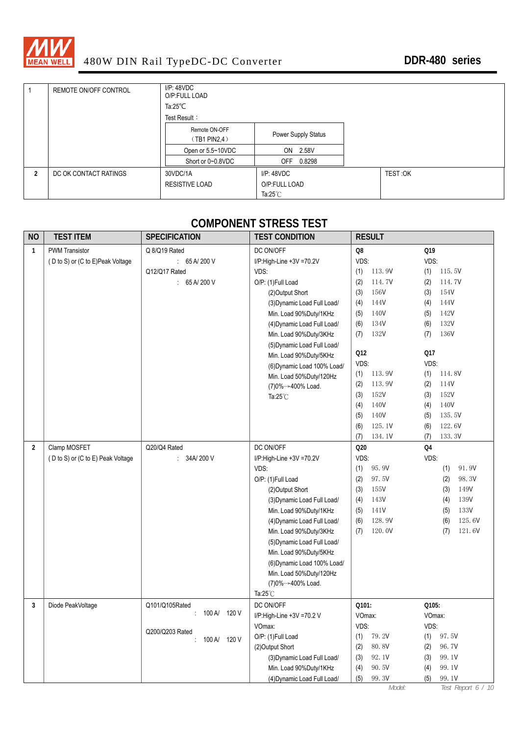

|   | REMOTE ON/OFF CONTROL | I/P: 48VDC<br>O/P:FULL LOAD    |                      |         |  |  |  |
|---|-----------------------|--------------------------------|----------------------|---------|--|--|--|
|   |                       |                                | Ta:25 $^{\circ}$ C   |         |  |  |  |
|   |                       | Test Result:                   |                      |         |  |  |  |
|   |                       | Remote ON-OFF<br>(TB1 PIN2, 4) | Power Supply Status  |         |  |  |  |
|   |                       | Open or 5.5~10VDC              | ON<br>2.58V          |         |  |  |  |
|   |                       | Short or 0~0.8VDC              | 0.8298<br><b>OFF</b> |         |  |  |  |
| 2 | DC OK CONTACT RATINGS | 30VDC/1A                       | I/P: 48VDC           | TEST:OK |  |  |  |
|   |                       | RESISTIVE LOAD                 | O/P:FULL LOAD        |         |  |  |  |
|   |                       |                                | Ta: $25^{\circ}$ C   |         |  |  |  |

### **COMPONENT STRESS TEST**

| <b>NO</b>    | <b>TEST ITEM</b>                  | <b>SPECIFICATION</b> | <b>TEST CONDITION</b>       | <b>RESULT</b>          |                                    |
|--------------|-----------------------------------|----------------------|-----------------------------|------------------------|------------------------------------|
| $\mathbf{1}$ | <b>PWM Transistor</b>             | Q 8/Q19 Rated        | DC ON/OFF                   | Q8                     | Q19                                |
|              | (D to S) or (C to E)Peak Voltage  | : 65 A/200 V         | I/P:High-Line +3V =70.2V    | VDS:                   | VDS:                               |
|              |                                   | Q12/Q17 Rated        | VDS:                        | 113.9V<br>(1)          | 115.5V<br>(1)                      |
|              |                                   | : 65 A/200 V         | O/P: (1)Full Load           | (2)<br>114.7V          | (2)<br>114.7V                      |
|              |                                   |                      | (2) Output Short            | 156V<br>(3)            | 154V<br>(3)                        |
|              |                                   |                      | (3) Dynamic Load Full Load/ | (4)<br>144V            | 144V<br>(4)                        |
|              |                                   |                      | Min. Load 90%Duty/1KHz      | 140V<br>(5)            | 142V<br>(5)                        |
|              |                                   |                      | (4) Dynamic Load Full Load/ | 134V<br>(6)            | 132V<br>(6)                        |
|              |                                   |                      | Min. Load 90%Duty/3KHz      | 132V<br>(7)            | 136V<br>(7)                        |
|              |                                   |                      | (5) Dynamic Load Full Load/ |                        |                                    |
|              |                                   |                      | Min. Load 90%Duty/5KHz      | Q12                    | Q17                                |
|              |                                   |                      | (6) Dynamic Load 100% Load/ | VDS:                   | VDS:                               |
|              |                                   |                      | Min. Load 50%Duty/120Hz     | 113.9V<br>(1)          | (1)<br>114.8V                      |
|              |                                   |                      | (7)0%→400% Load.            | 113.9V<br>(2)          | 114V<br>(2)                        |
|              |                                   |                      | Ta: $25^{\circ}$ C          | 152V<br>(3)            | 152V<br>(3)                        |
|              |                                   |                      |                             | 140V<br>(4)            | 140V<br>(4)                        |
|              |                                   |                      |                             | 140V<br>(5)            | 135.5V<br>(5)                      |
|              |                                   |                      |                             | 125.1V<br>(6)          | 122.6V<br>(6)                      |
|              |                                   |                      |                             | 134.1V<br>(7)          | 133.3V<br>(7)                      |
| 2            | Clamp MOSFET                      | Q20/Q4 Rated         | DC ON/OFF                   | Q20                    | Q4                                 |
|              | (D to S) or (C to E) Peak Voltage | : 34A/200V           | I/P:High-Line +3V =70.2V    | VDS:                   | VDS:                               |
|              |                                   |                      | VDS:                        | 95.9V<br>(1)           | 91.9V<br>(1)                       |
|              |                                   |                      | O/P: (1)Full Load           | 97.5V<br>(2)           | 98.3V<br>(2)                       |
|              |                                   |                      | (2) Output Short            | (3)<br>155V            | 149V<br>(3)                        |
|              |                                   |                      | (3) Dynamic Load Full Load/ | 143V<br>(4)            | 139V<br>(4)                        |
|              |                                   |                      | Min. Load 90%Duty/1KHz      | 141V<br>(5)            | 133V<br>(5)                        |
|              |                                   |                      | (4) Dynamic Load Full Load/ | 128.9V<br>(6)          | 125.6V<br>(6)                      |
|              |                                   |                      | Min. Load 90%Duty/3KHz      | 120.0V<br>(7)          | 121.6V<br>(7)                      |
|              |                                   |                      | (5) Dynamic Load Full Load/ |                        |                                    |
|              |                                   |                      | Min. Load 90%Duty/5KHz      |                        |                                    |
|              |                                   |                      | (6) Dynamic Load 100% Load/ |                        |                                    |
|              |                                   |                      | Min. Load 50%Duty/120Hz     |                        |                                    |
|              |                                   |                      | (7)0%→400% Load.            |                        |                                    |
|              |                                   |                      | Ta: $25^{\circ}$ C          |                        |                                    |
| 3            | Diode PeakVoltage                 | Q101/Q105Rated       | DC ON/OFF                   | Q101:                  | Q105:                              |
|              |                                   | : 100 A / 120 V      | I/P:High-Line +3V =70.2 V   | VOmax:                 | VOmax:                             |
|              |                                   | Q200/Q203 Rated      | VOmax:                      | VDS:                   | VDS:                               |
|              |                                   | : 100 A/ 120 V       | O/P: (1)Full Load           | (1)<br>79.2V           | (1)<br>97.5V                       |
|              |                                   |                      | (2) Output Short            | 80.8V<br>(2)           | (2)<br>96.7V                       |
|              |                                   |                      | (3) Dynamic Load Full Load/ | 92.1V<br>(3)           | 99.1V<br>(3)                       |
|              |                                   |                      | Min. Load 90%Duty/1KHz      | 90.5V<br>(4)           | 99.1V<br>(4)                       |
|              |                                   |                      | (4) Dynamic Load Full Load/ | 99.3V<br>(5)<br>Model: | 99.1V<br>(5)<br>Test Report 6 / 10 |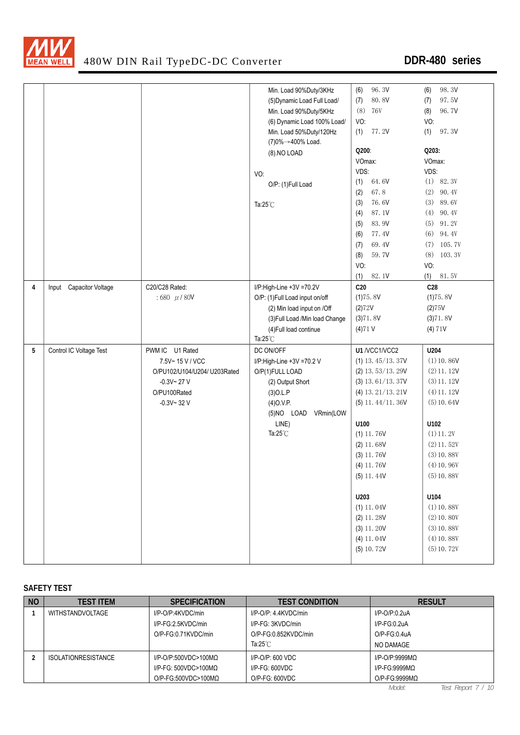

|   |                         |                              | Min. Load 90%Duty/3KHz         | 96.3V<br>(6)         | 98.3V<br>(6)  |
|---|-------------------------|------------------------------|--------------------------------|----------------------|---------------|
|   |                         |                              | (5) Dynamic Load Full Load/    | 80.8V<br>(7)         | 97.5V<br>(7)  |
|   |                         |                              | Min. Load 90%Duty/5KHz         | $(8)$ 76V            | 96.7V<br>(8)  |
|   |                         |                              | (6) Dynamic Load 100% Load/    | VO:                  | VO:           |
|   |                         |                              | Min. Load 50%Duty/120Hz        | (1)<br>77.2V         | 97.3V<br>(1)  |
|   |                         |                              | (7)0%→400% Load.               |                      |               |
|   |                         |                              | (8).NO LOAD                    | Q200:                | Q203:         |
|   |                         |                              |                                | VOmax:               | VOmax:        |
|   |                         |                              | VO:                            | VDS:                 | VDS:          |
|   |                         |                              | O/P: (1)Full Load              | 64.6V<br>(1)         | $(1)$ 82.3V   |
|   |                         |                              |                                | 67.8<br>(2)          | (2)<br>90.4V  |
|   |                         |                              | Ta: $25^{\circ}$ C             | 76.6V<br>(3)         | (3)<br>89.6V  |
|   |                         |                              |                                | 87.1V<br>(4)         | (4)<br>90.4V  |
|   |                         |                              |                                | 83.9V<br>(5)         | 91.2V<br>(5)  |
|   |                         |                              |                                | 77.4V<br>(6)         | $(6)$ 94.4V   |
|   |                         |                              |                                | 69.4V<br>(7)         | $(7)$ 105.7V  |
|   |                         |                              |                                | 59.7V<br>(8)         | (8)<br>103.3V |
|   |                         |                              |                                |                      |               |
|   |                         |                              |                                | VO:                  | VO:           |
|   |                         |                              |                                | (1)<br>82.1V         | $(1)$ 81.5V   |
| 4 | Input Capacitor Voltage | C20/C28 Rated:               | I/P:High-Line +3V =70.2V       | C <sub>20</sub>      | C28           |
|   |                         | $:680$ $\mu$ / 80V           | O/P: (1)Full Load input on/off | (1)75.8V             | (1)75.8V      |
|   |                         |                              | (2) Min load input on /Off     | (2)72V               | (2)75V        |
|   |                         |                              | (3) Full Load /Min load Change | (3)71.8V             | (3)71.8V      |
|   |                         |                              | (4) Full load continue         | (4)71V               | (4) 71V       |
|   |                         |                              | Ta: $25^{\circ}$ C             |                      |               |
| 5 | Control IC Voltage Test | PWM IC U1 Rated              | DC ON/OFF                      | U1 /VCC1/VCC2        | U204          |
|   |                         | 7.5V~15V/VCC                 | I/P:High-Line +3V =70.2 V      | $(1)$ 13. 45/13. 37V | (1) 10. 86V   |
|   |                         |                              |                                |                      |               |
|   |                         | O/PU102/U104/U204/ U203Rated | O/P(1)FULL LOAD                | (2) 13.53/13.29V     | $(2)$ 11.12V  |
|   |                         | $-0.3V - 27V$                | (2) Output Short               | $(3)$ 13.61/13.37V   | (3) 11. 12V   |
|   |                         | O/PU100Rated                 | $(3)$ O.L.P                    | (4) 13. 21/13. 21V   | $(4)$ 11.12V  |
|   |                         | $-0.3V - 32V$                | $(4)$ O.V.P.                   | $(5)$ 11. 44/11. 36V | (5) 10.64V    |
|   |                         |                              | (5)NO LOAD VRmin(LOW           |                      |               |
|   |                         |                              | LINE)                          | U100                 | U102          |
|   |                         |                              | Ta: $25^{\circ}$ C             | $(1)$ 11.76V         | $(1)$ 11.2V   |
|   |                         |                              |                                | $(2)$ 11.68V         | $(2)$ 11.52V  |
|   |                         |                              |                                |                      | $(3)$ 10.88V  |
|   |                         |                              |                                | $(3)$ 11.76V         |               |
|   |                         |                              |                                | $(4)$ 11.76V         | $(4)$ 10.96V  |
|   |                         |                              |                                | $(5)$ 11.44V         | $(5)$ 10.88V  |
|   |                         |                              |                                |                      |               |
|   |                         |                              |                                | U203                 | U104          |
|   |                         |                              |                                | $(1)$ 11.04V         | $(1)$ 10.88V  |
|   |                         |                              |                                | $(2)$ 11.28V         | $(2)$ 10.80V  |
|   |                         |                              |                                | $(3)$ 11.20V         | $(3)$ 10.88V  |
|   |                         |                              |                                | $(4)$ 11.04V         | $(4)$ 10.88V  |
|   |                         |                              |                                | (5) 10.72V           | (5) 10.72V    |

#### **SAFETY TEST**

| <b>NO</b> | <b>TEST ITEM</b>           | <b>SPECIFICATION</b>     | <b>TEST CONDITION</b> | <b>RESULT</b>        |  |
|-----------|----------------------------|--------------------------|-----------------------|----------------------|--|
|           | <b>WITHSTANDVOLTAGE</b>    | I/P-O/P:4KVDC/min        | I/P-O/P: 4.4KVDC/min  | $I/P-O/P:0.2UA$      |  |
|           |                            | I/P-FG:2.5KVDC/min       | I/P-FG: 3KVDC/min     | $I/P-FG:0.2uA$       |  |
|           |                            | O/P-FG:0.71KVDC/min      | O/P-FG:0.852KVDC/min  | $O/P-FG.0.4UA$       |  |
|           |                            |                          | Ta: $25^\circ$ C      | NO DAMAGE            |  |
|           | <b>ISOLATIONRESISTANCE</b> | $I/P$ -O/P:500VDC>100MQ  | $I/P$ -O/P: 600 VDC   | $I/P$ -O/P:9999MQ    |  |
|           |                            | $I/P-FG: 500VDC > 100MO$ | $I/P-FG: 600VDC$      | $I/P-FG:9999MO$      |  |
|           |                            | $O/P-FG:500VDC>100MO$    | O/P-FG: 600VDC        | $O/P-FG:9999M\Omega$ |  |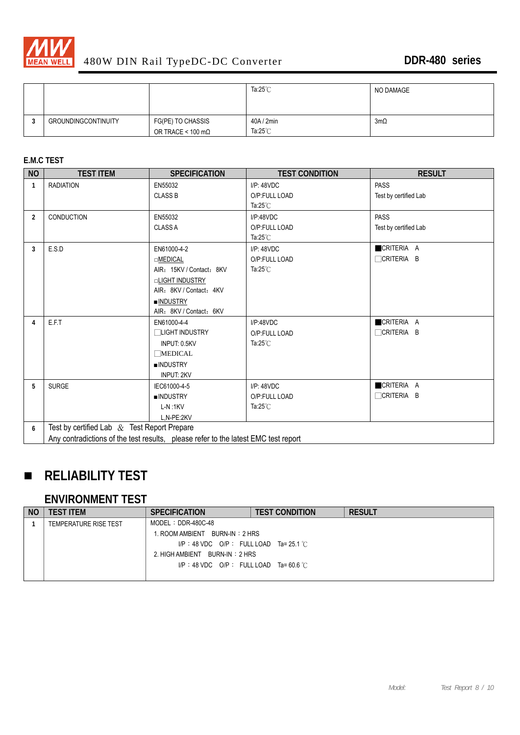

|                     |                                                | Ta: $25^{\circ}$ C               | NO DAMAGE  |
|---------------------|------------------------------------------------|----------------------------------|------------|
| GROUNDINGCONTINUITY | FG(PE) TO CHASSIS<br>OR TRACE < 100 m $\Omega$ | 40A / 2min<br>Ta: $25^{\circ}$ C | $3m\Omega$ |

#### **E.M.C TEST**

| <b>NO</b>      | <b>TEST ITEM</b>                                                                   | <b>SPECIFICATION</b>               | <b>RESULT</b>            |                       |
|----------------|------------------------------------------------------------------------------------|------------------------------------|--------------------------|-----------------------|
| $\mathbf{1}$   | <b>RADIATION</b>                                                                   | EN55032                            | I/P: 48VDC               | <b>PASS</b>           |
|                |                                                                                    | <b>CLASS B</b>                     | O/P:FULL LOAD            | Test by certified Lab |
|                |                                                                                    |                                    | Ta: $25^{\circ}$ C       |                       |
| $\overline{2}$ | <b>CONDUCTION</b>                                                                  | EN55032                            | <b>PASS</b><br>I/P:48VDC |                       |
|                |                                                                                    | <b>CLASS A</b>                     | O/P:FULL LOAD            | Test by certified Lab |
|                |                                                                                    |                                    | Ta: $25^{\circ}$ C       |                       |
| $\overline{3}$ | E.S.D                                                                              | EN61000-4-2                        | I/P: 48VDC               | CRITERIA A            |
|                |                                                                                    | $\square$ MEDICAL                  | O/P:FULL LOAD            | $\Box$ CRITERIA B     |
|                |                                                                                    | AIR: 15KV / Contact: 8KV           | Ta: $25^{\circ}$ C       |                       |
|                |                                                                                    | <b>LIGHT INDUSTRY</b>              |                          |                       |
|                |                                                                                    | AIR: 8KV / Contact: 4KV            |                          |                       |
|                |                                                                                    | <b>INDUSTRY</b>                    |                          |                       |
|                |                                                                                    | AIR: 8KV / Contact: 6KV            |                          |                       |
| 4              | E.F.T                                                                              | EN61000-4-4                        | I/P:48VDC                | CRITERIA A            |
|                |                                                                                    | <b>TLIGHT INDUSTRY</b>             | O/P:FULL LOAD            | □CRITERIA B           |
|                |                                                                                    | Ta: $25^{\circ}$ C<br>INPUT: 0.5KV |                          |                       |
|                |                                                                                    | $\Box$ MEDICAL                     |                          |                       |
|                |                                                                                    | <b>INDUSTRY</b>                    |                          |                       |
|                |                                                                                    | <b>INPUT: 2KV</b>                  |                          |                       |
| 5              | <b>SURGE</b>                                                                       | IEC61000-4-5                       | I/P: 48VDC               | CRITERIA A            |
|                |                                                                                    | <b>INDUSTRY</b>                    | O/P:FULL LOAD            | □CRITERIA B           |
|                |                                                                                    | $L-N:1KV$                          | Ta: $25^{\circ}$ C       |                       |
|                |                                                                                    | L.N-PE:2KV                         |                          |                       |
| 6              | Test by certified Lab $\&$ Test Report Prepare                                     |                                    |                          |                       |
|                | Any contradictions of the test results, please refer to the latest EMC test report |                                    |                          |                       |

# **RELIABILITY TEST**

### **ENVIRONMENT TEST**

| <b>NO</b> | <b>TEST ITEM</b>      | <b>SPECIFICATION</b>                              | <b>TEST CONDITION</b> | <b>RESULT</b> |
|-----------|-----------------------|---------------------------------------------------|-----------------------|---------------|
|           | TEMPERATURE RISE TEST | MODEL: DDR-480C-48                                |                       |               |
|           |                       | BURN-IN : 2 HRS<br>1. ROOM AMBIENT                |                       |               |
|           |                       | $IP: 48 \, \text{VDC}$ O/P: FULL LOAD Ta= 25.1 °C |                       |               |
|           |                       | 2. HIGH AMBIENT BURN-IN : 2 HRS                   |                       |               |
|           |                       | $IP: 48 \, \text{VDC}$ O/P: FULL LOAD Ta=60.6 °C  |                       |               |
|           |                       |                                                   |                       |               |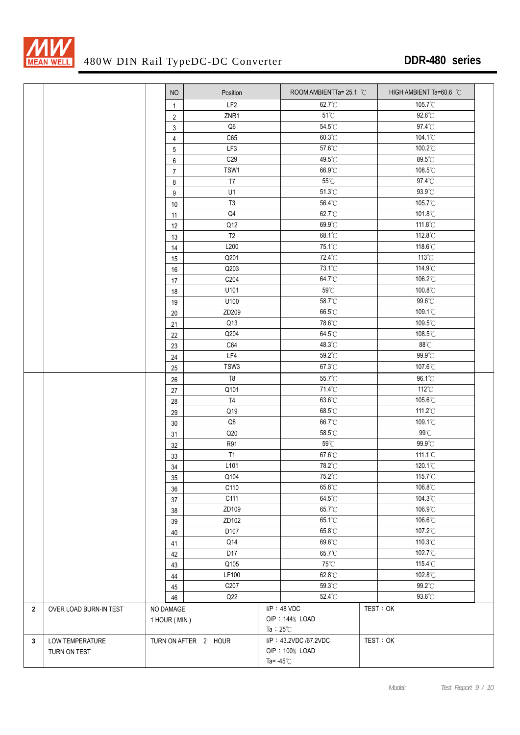

|                |                        | $\mathbf{1}$   | LF <sub>2</sub>      | $62.7^{\circ}$ C           | 105.7°C        |
|----------------|------------------------|----------------|----------------------|----------------------------|----------------|
|                |                        | $\overline{2}$ | ZNR1                 | $51^{\circ}$ C             | 92.6°C         |
|                |                        | 3              | $\mathsf{Q6}$        | $54.5^{\circ}\mathrm{C}$   | 97.4°C         |
|                |                        | $\overline{4}$ | C65                  | $60.3^{\circ}$ C           | 104.1°C        |
|                |                        | 5              | LF3                  | $57.6^{\circ}$ C           | 100.2°C        |
|                |                        | $\,6\,$        | C <sub>29</sub>      | 49.5°C                     | 89.5°C         |
|                |                        | $\overline{7}$ | TSW1                 | 66.9°C                     | 108.5°C        |
|                |                        | 8              | T7                   | $55^{\circ}$ C             | 97.4°C         |
|                |                        | 9              | U1                   | $51.3^{\circ}$ C           | 93.9°C         |
|                |                        | 10             | T <sub>3</sub>       | $56.4\,^{\circ}\mathrm{C}$ | 105.7°C        |
|                |                        | 11             | Q4                   | 62.7°C                     | 101.8°C        |
|                |                        | 12             | Q12                  | 69.9°C                     | 111.8°C        |
|                |                        | 13             | T2                   | 68.1°C                     | 112.8°C        |
|                |                        | 14             | L200                 | 75.1°C                     | 118.6°C        |
|                |                        | 15             | Q201                 | 72.4°C                     | 113°C          |
|                |                        | $16$           | Q203                 | 73.1°C                     | 114.9°C        |
|                |                        | 17             | C204                 | 64.7°C                     | 106.2°C        |
|                |                        | $18$           | U101                 | $59^{\circ}\mathrm{C}$     | 100.8°C        |
|                |                        | 19             | U100                 | 58.7°C                     | 99.6°C         |
|                |                        | $20\,$         | ZD209                | 66.5°C                     | 109.1°C        |
|                |                        | 21             | Q13                  | 78.6°C                     | 109.5°C        |
|                |                        | 22             | Q204                 | $64.5^{\circ}$ C           | 108.5°C        |
|                |                        | 23             | C64                  | 48.3°C                     | $88^{\circ}$ C |
|                |                        | 24             | LF4                  | $59.2^{\circ}\!\mathrm{C}$ | 99.9°C         |
|                |                        | 25             | TSW3                 | 67.3°C                     | 107.6°C        |
|                |                        | $26\,$         | T <sub>8</sub>       | $55.7^{\circ}\!\mathrm{C}$ | 96.1°C         |
|                |                        | 27             | Q101                 | 71.4°C                     | 112°C          |
|                |                        | 28             | T4                   | $63.6^{\circ}$ C           | 105.6°C        |
|                |                        | 29             | Q19                  | $68.5^{\circ}$ C           | 111.2°C        |
|                |                        | $30\,$         | $\mathsf{Q8}$        | 66.7°C                     | 109.1°C        |
|                |                        | 31             | Q20                  | $58.5^{\circ}\!{\rm C}$    | 99°C           |
|                |                        | 32             | R91                  | 59°C                       | 99.9°C         |
|                |                        | 33             | T1                   | $67.6^{\circ}$ C           | 111.1°C        |
|                |                        | 34             | L <sub>101</sub>     | 78.2°C                     | 120.1°C        |
|                |                        | $35\,$         | Q104                 | 75.2°C                     | 115.7°C        |
|                |                        | 36             | C110                 | $65.8^{\circ}\mathrm{C}$   | 106.8°C        |
|                |                        | 37             | C111                 | 64.5°C                     | 104.3°C        |
|                |                        | 38             | ZD109                | 65.7°C                     | 106.9°C        |
|                |                        | 39             | ZD102                | 65.1°C                     | 106.6°C        |
|                |                        | 40             | D107                 | 65.8°C                     | 107.2°C        |
|                |                        | 41             | Q14                  | 69.6°C                     | 110.3°C        |
|                |                        | 42             | D17                  | 65.7°C                     | 102.7°C        |
|                |                        | 43             | Q105                 | 75℃                        | 115.4°C        |
|                |                        | 44             | LF100                | 62.8°C                     | 102.8°C        |
|                |                        | 45             | C207                 | 59.3°C                     | 99.2°C         |
|                |                        | 46             | Q22                  | 52.4°C                     | 93.6°C         |
| $\overline{2}$ | OVER LOAD BURN-IN TEST | NO DAMAGE      |                      | $I/P$ : 48 VDC             | TEST: OK       |
|                |                        | 1 HOUR (MIN)   |                      | O/P: 144% LOAD             |                |
|                |                        |                |                      | Ta: $25^{\circ}$ C         |                |
| 3              | LOW TEMPERATURE        |                | TURN ON AFTER 2 HOUR | I/P: 43.2VDC /67.2VDC      | TEST: OK       |
|                | TURN ON TEST           |                |                      | O/P: 100% LOAD             |                |
|                |                        |                |                      | Ta= $-45^{\circ}$ C        |                |
|                |                        |                |                      |                            |                |

NO Position ROOM AMBIENTTa= 25.1 ℃ HIGH AMBIENT Ta=60.6 ℃

# 480W DIN Rail TypeDC-DC Converter **DDR-480 series**